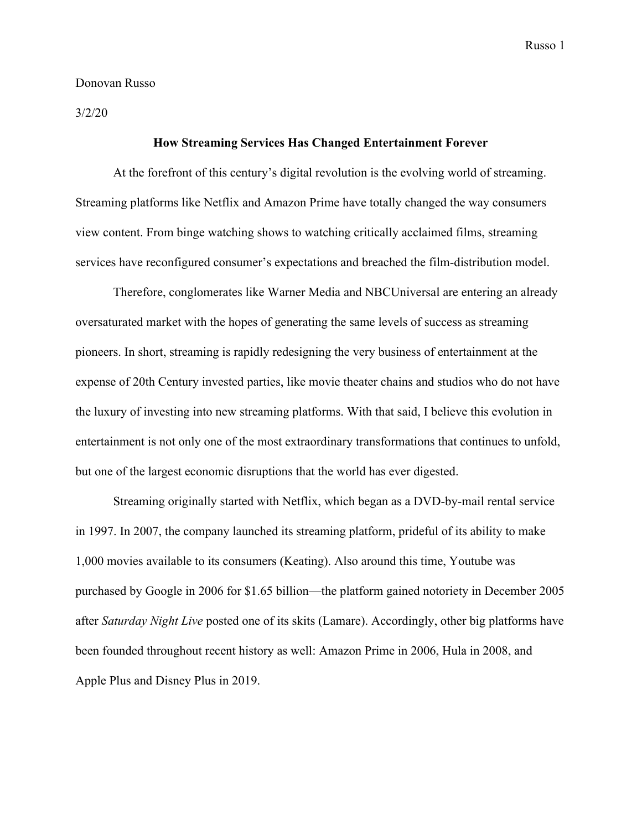## Donovan Russo

3/2/20

## **How Streaming Services Has Changed Entertainment Forever**

At the forefront of this century's digital revolution is the evolving world of streaming. Streaming platforms like Netflix and Amazon Prime have totally changed the way consumers view content. From binge watching shows to watching critically acclaimed films, streaming services have reconfigured consumer's expectations and breached the film-distribution model.

Therefore, conglomerates like Warner Media and NBCUniversal are entering an already oversaturated market with the hopes of generating the same levels of success as streaming pioneers. In short, streaming is rapidly redesigning the very business of entertainment at the expense of 20th Century invested parties, like movie theater chains and studios who do not have the luxury of investing into new streaming platforms. With that said, I believe this evolution in entertainment is not only one of the most extraordinary transformations that continues to unfold, but one of the largest economic disruptions that the world has ever digested.

Streaming originally started with Netflix, which began as a DVD-by-mail rental service in 1997. In 2007, the company launched its streaming platform, prideful of its ability to make 1,000 movies available to its consumers (Keating). Also around this time, Youtube was purchased by Google in 2006 for \$1.65 billion—the platform gained notoriety in December 2005 after *Saturday Night Live* posted one of its skits (Lamare). Accordingly, other big platforms have been founded throughout recent history as well: Amazon Prime in 2006, Hula in 2008, and Apple Plus and Disney Plus in 2019.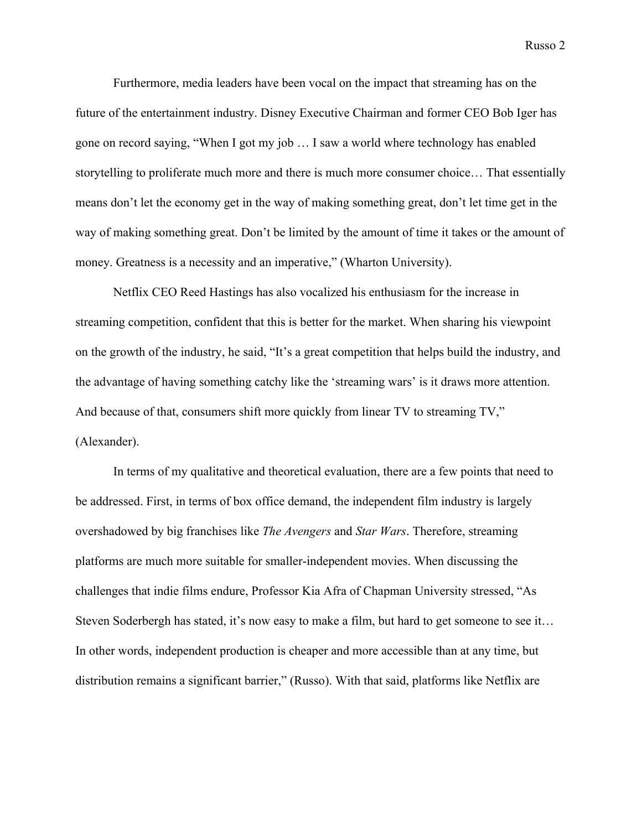Furthermore, media leaders have been vocal on the impact that streaming has on the future of the entertainment industry. Disney Executive Chairman and former CEO Bob Iger has gone on record saying, "When I got my job … I saw a world where technology has enabled storytelling to proliferate much more and there is much more consumer choice… That essentially means don't let the economy get in the way of making something great, don't let time get in the way of making something great. Don't be limited by the amount of time it takes or the amount of money. Greatness is a necessity and an imperative," (Wharton University).

Netflix CEO Reed Hastings has also vocalized his enthusiasm for the increase in streaming competition, confident that this is better for the market. When sharing his viewpoint on the growth of the industry, he said, "It's a great competition that helps build the industry, and the advantage of having something catchy like the 'streaming wars' is it draws more attention. And because of that, consumers shift more quickly from linear TV to streaming TV," (Alexander).

In terms of my qualitative and theoretical evaluation, there are a few points that need to be addressed. First, in terms of box office demand, the independent film industry is largely overshadowed by big franchises like *The Avengers* and *Star Wars*. Therefore, streaming platforms are much more suitable for smaller-independent movies. When discussing the challenges that indie films endure, Professor Kia Afra of Chapman University stressed, "As Steven Soderbergh has stated, it's now easy to make a film, but hard to get someone to see it... In other words, independent production is cheaper and more accessible than at any time, but distribution remains a significant barrier," (Russo). With that said, platforms like Netflix are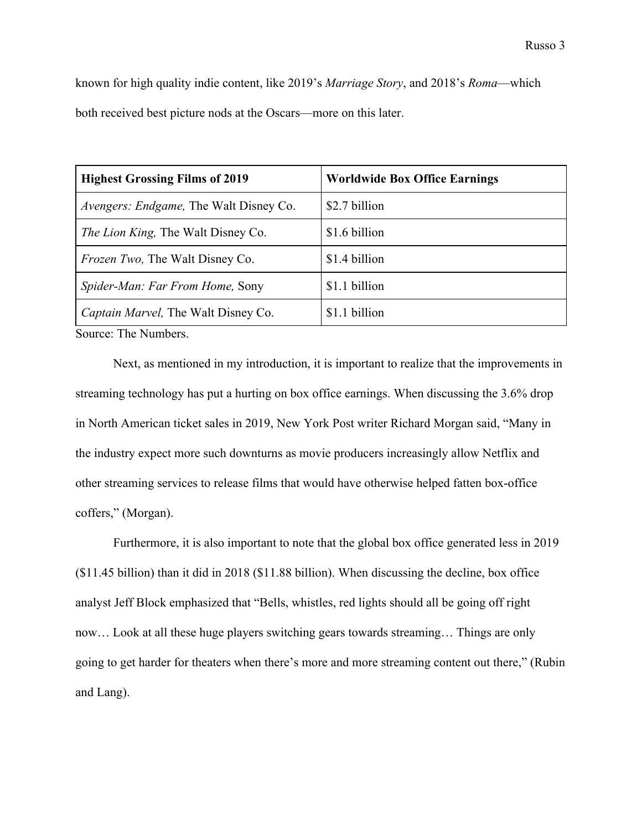known for high quality indie content, like 2019's *Marriage Story*, and 2018's *Roma*—which both received best picture nods at the Oscars—more on this later.

| <b>Highest Grossing Films of 2019</b>  | <b>Worldwide Box Office Earnings</b> |
|----------------------------------------|--------------------------------------|
| Avengers: Endgame, The Walt Disney Co. | \$2.7 billion                        |
| The Lion King, The Walt Disney Co.     | \$1.6 billion                        |
| <i>Frozen Two, The Walt Disney Co.</i> | \$1.4 billion                        |
| <i>Spider-Man: Far From Home, Sony</i> | \$1.1 billion                        |
| Captain Marvel, The Walt Disney Co.    | \$1.1 billion                        |

Source: The Numbers.

Next, as mentioned in my introduction, it is important to realize that the improvements in streaming technology has put a hurting on box office earnings. When discussing the 3.6% drop in North American ticket sales in 2019, New York Post writer Richard Morgan said, "Many in the industry expect more such downturns as movie producers increasingly allow Netflix and other streaming services to release films that would have otherwise helped fatten box-office coffers," (Morgan).

Furthermore, it is also important to note that the global box office generated less in 2019 (\$11.45 billion) than it did in 2018 (\$11.88 billion). When discussing the decline, box office analyst Jeff Block emphasized that "Bells, whistles, red lights should all be going off right now… Look at all these huge players switching gears towards streaming… Things are only going to get harder for theaters when there's more and more streaming content out there," (Rubin and Lang).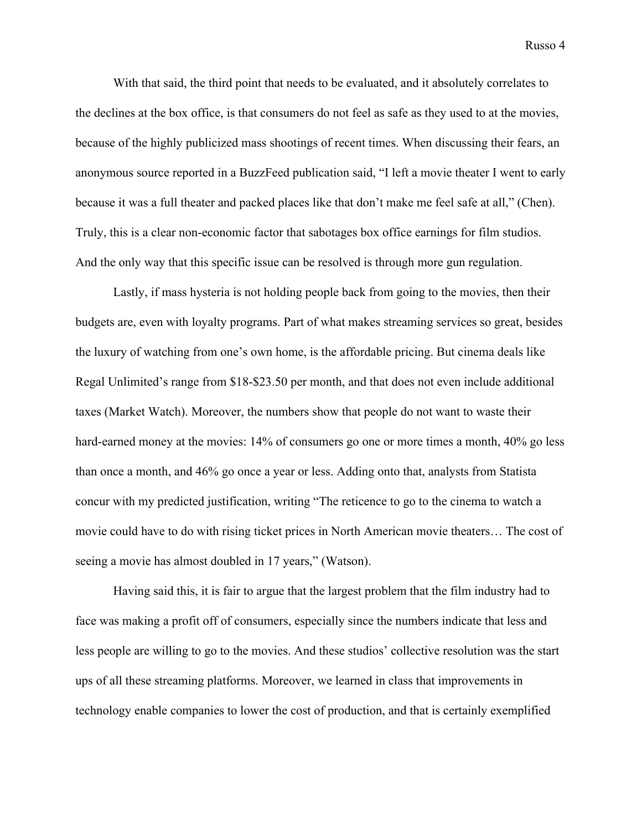With that said, the third point that needs to be evaluated, and it absolutely correlates to the declines at the box office, is that consumers do not feel as safe as they used to at the movies, because of the highly publicized mass shootings of recent times. When discussing their fears, an anonymous source reported in a BuzzFeed publication said, "I left a movie theater I went to early because it was a full theater and packed places like that don't make me feel safe at all," (Chen). Truly, this is a clear non-economic factor that sabotages box office earnings for film studios. And the only way that this specific issue can be resolved is through more gun regulation.

Lastly, if mass hysteria is not holding people back from going to the movies, then their budgets are, even with loyalty programs. Part of what makes streaming services so great, besides the luxury of watching from one's own home, is the affordable pricing. But cinema deals like Regal Unlimited's range from \$18-\$23.50 per month, and that does not even include additional taxes (Market Watch). Moreover, the numbers show that people do not want to waste their hard-earned money at the movies: 14% of consumers go one or more times a month, 40% go less than once a month, and 46% go once a year or less. Adding onto that, analysts from Statista concur with my predicted justification, writing "The reticence to go to the cinema to watch a movie could have to do with [rising ticket prices in North American movie theaters](https://www.statista.com/statistics/187091/average-ticket-price-at-north-american-movie-theaters-since-2001/)… The cost of seeing a movie has almost doubled in 17 years," (Watson).

Having said this, it is fair to argue that the largest problem that the film industry had to face was making a profit off of consumers, especially since the numbers indicate that less and less people are willing to go to the movies. And these studios' collective resolution was the start ups of all these streaming platforms. Moreover, we learned in class that improvements in technology enable companies to lower the cost of production, and that is certainly exemplified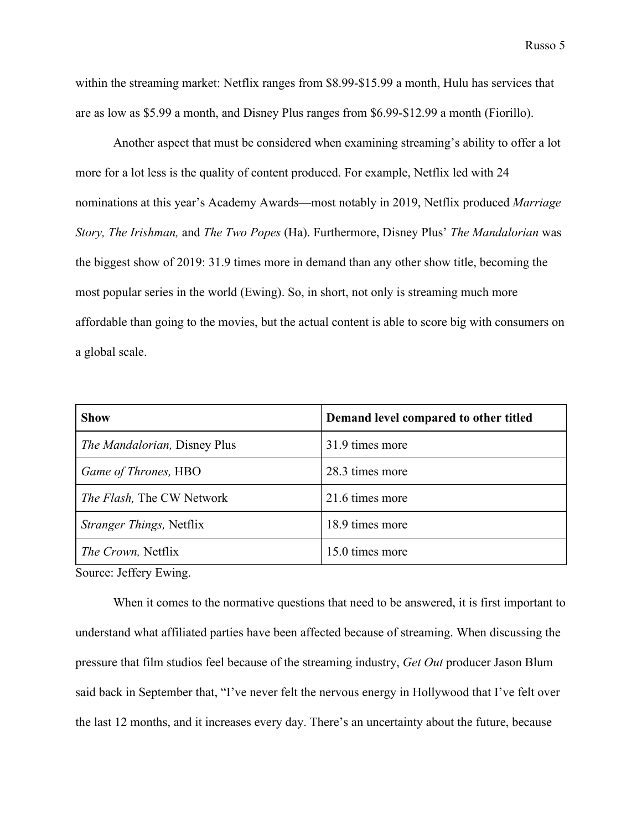within the streaming market: Netflix ranges from \$8.99-\$15.99 a month, Hulu has services that are as low as \$5.99 a month, and Disney Plus ranges from \$6.99-\$12.99 a month (Fiorillo).

Another aspect that must be considered when examining streaming's ability to offer a lot more for a lot less is the quality of content produced. For example, Netflix led with 24 nominations at this year's Academy Awards—most notably in 2019, Netflix produced *Marriage Story, The Irishman,* and *The Two Popes* (Ha). Furthermore, Disney Plus' *The Mandalorian* was the biggest show of 2019: 31.9 times more in demand than any other show title, becoming the most popular series in the world (Ewing). So, in short, not only is streaming much more affordable than going to the movies, but the actual content is able to score big with consumers on a global scale.

| <b>Show</b>                         | Demand level compared to other titled |
|-------------------------------------|---------------------------------------|
| <i>The Mandalorian, Disney Plus</i> | 31.9 times more                       |
| Game of Thrones, HBO                | 28.3 times more                       |
| The Flash, The CW Network           | 21.6 times more                       |
| <i>Stranger Things, Netflix</i>     | 18.9 times more                       |
| <i>The Crown</i> , Netflix          | 15.0 times more                       |

Source: Jeffery Ewing.

When it comes to the normative questions that need to be answered, it is first important to understand what affiliated parties have been affected because of streaming. When discussing the pressure that film studios feel because of the streaming industry, *Get Out* producer Jason Blum said back in September that, "I've never felt the nervous energy in Hollywood that I've felt over the last 12 months, and it increases every day. There's an uncertainty about the future, because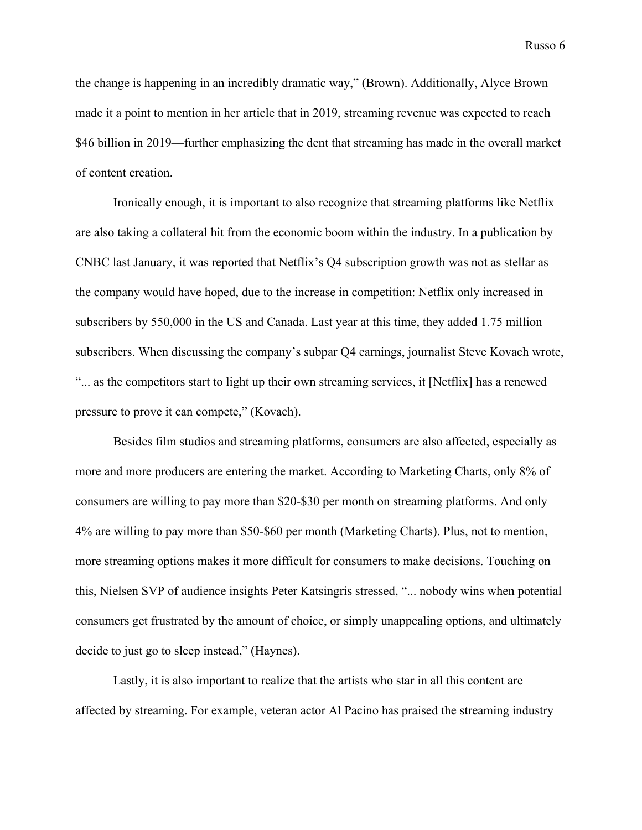the change is happening in an incredibly dramatic way," (Brown). Additionally, Alyce Brown made it a point to mention in her article that in 2019, streaming revenue was expected to reach \$46 billion in 2019—further emphasizing the dent that streaming has made in the overall market of content creation.

Ironically enough, it is important to also recognize that streaming platforms like Netflix are also taking a collateral hit from the economic boom within the industry. In a publication by CNBC last January, it was reported that Netflix's Q4 subscription growth was not as stellar as the company would have hoped, due to the increase in competition: Netflix only increased in subscribers by 550,000 in the US and Canada. Last year at this time, they added 1.75 million subscribers. When discussing the company's subpar Q4 earnings, journalist Steve Kovach wrote, "... as the competitors start to light up their own streaming services, it [Netflix] has a renewed pressure to prove it can compete," (Kovach).

Besides film studios and streaming platforms, consumers are also affected, especially as more and more producers are entering the market. According to Marketing Charts, only 8% of consumers are willing to pay more than \$20-\$30 per month on streaming platforms. And only 4% are willing to pay more than \$50-\$60 per month (Marketing Charts). Plus, not to mention, more streaming options makes it more difficult for consumers to make decisions. Touching on this, Nielsen SVP of audience insights Peter Katsingris stressed, "... nobody wins when potential consumers get frustrated by the amount of choice, or simply unappealing options, and ultimately decide to just go to sleep instead," (Haynes).

Lastly, it is also important to realize that the artists who star in all this content are affected by streaming. For example, veteran actor Al Pacino has praised the streaming industry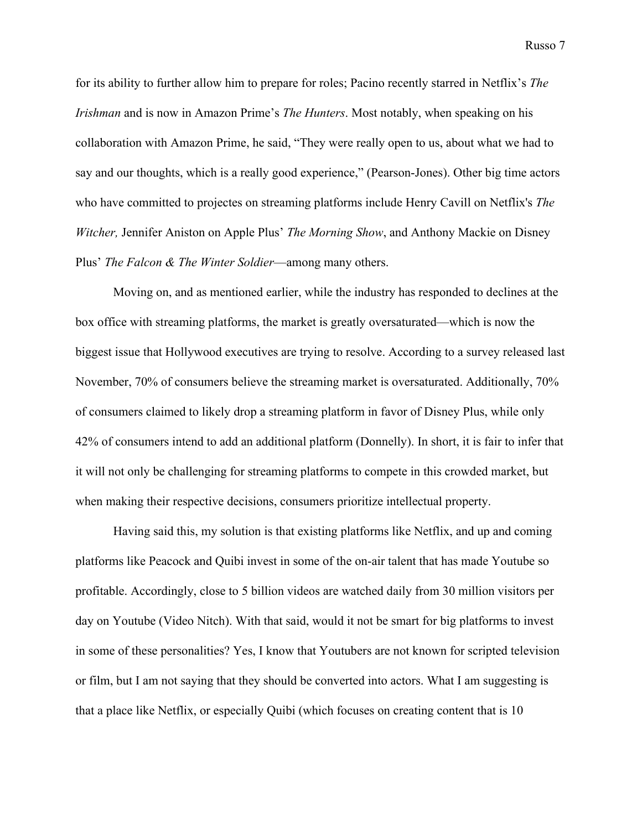for its ability to further allow him to prepare for roles; Pacino recently starred in Netflix's *The Irishman* and is now in Amazon Prime's *The Hunters*. Most notably, when speaking on his collaboration with Amazon Prime, he said, "They were really open to us, about what we had to say and our thoughts, which is a really good experience," (Pearson-Jones). Other big time actors who have committed to projectes on streaming platforms include Henry Cavill on Netflix's *The Witcher,* Jennifer Aniston on Apple Plus' *The Morning Show*, and Anthony Mackie on Disney Plus' *The Falcon & The Winter Soldier*—among many others.

Moving on, and as mentioned earlier, while the industry has responded to declines at the box office with streaming platforms, the market is greatly oversaturated—which is now the biggest issue that Hollywood executives are trying to resolve. According to a survey released last November, 70% of consumers believe the streaming market is oversaturated. Additionally, 70% of consumers claimed to likely drop a streaming platform in favor of Disney Plus, while only 42% of consumers intend to add an additional platform (Donnelly). In short, it is fair to infer that it will not only be challenging for streaming platforms to compete in this crowded market, but when making their respective decisions, consumers prioritize intellectual property.

Having said this, my solution is that existing platforms like Netflix, and up and coming platforms like Peacock and Quibi invest in some of the on-air talent that has made Youtube so profitable. Accordingly, close to 5 billion videos are watched daily from 30 million visitors per day on Youtube (Video Nitch). With that said, would it not be smart for big platforms to invest in some of these personalities? Yes, I know that Youtubers are not known for scripted television or film, but I am not saying that they should be converted into actors. What I am suggesting is that a place like Netflix, or especially Quibi (which focuses on creating content that is 10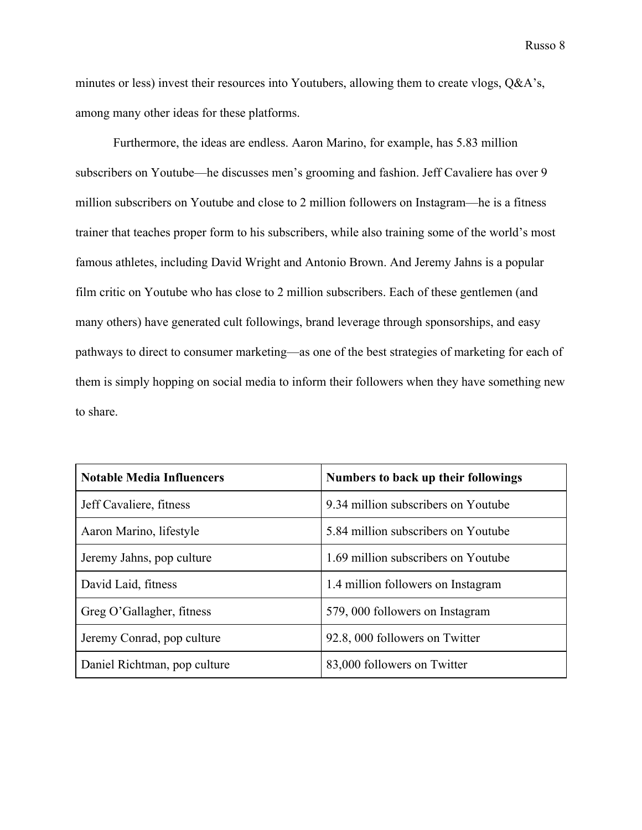minutes or less) invest their resources into Youtubers, allowing them to create vlogs, Q&A's, among many other ideas for these platforms.

Furthermore, the ideas are endless. Aaron Marino, for example, has 5.83 million subscribers on Youtube—he discusses men's grooming and fashion. Jeff Cavaliere has over 9 million subscribers on Youtube and close to 2 million followers on Instagram—he is a fitness trainer that teaches proper form to his subscribers, while also training some of the world's most famous athletes, including David Wright and Antonio Brown. And Jeremy Jahns is a popular film critic on Youtube who has close to 2 million subscribers. Each of these gentlemen (and many others) have generated cult followings, brand leverage through sponsorships, and easy pathways to direct to consumer marketing—as one of the best strategies of marketing for each of them is simply hopping on social media to inform their followers when they have something new to share.

| <b>Notable Media Influencers</b> | Numbers to back up their followings |
|----------------------------------|-------------------------------------|
| Jeff Cavaliere, fitness          | 9.34 million subscribers on Youtube |
| Aaron Marino, lifestyle          | 5.84 million subscribers on Youtube |
| Jeremy Jahns, pop culture        | 1.69 million subscribers on Youtube |
| David Laid, fitness              | 1.4 million followers on Instagram  |
| Greg O'Gallagher, fitness        | 579, 000 followers on Instagram     |
| Jeremy Conrad, pop culture       | 92.8, 000 followers on Twitter      |
| Daniel Richtman, pop culture     | 83,000 followers on Twitter         |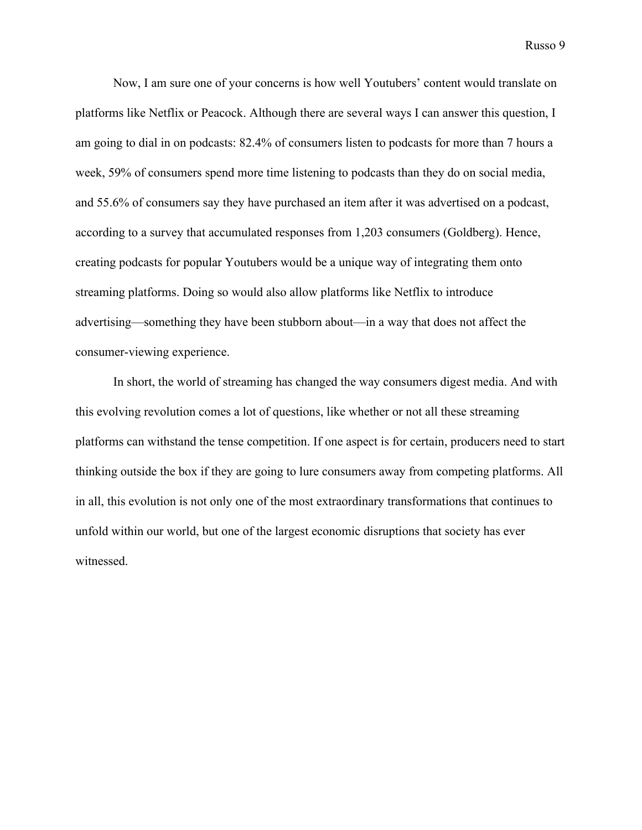Now, I am sure one of your concerns is how well Youtubers' content would translate on platforms like Netflix or Peacock. Although there are several ways I can answer this question, I am going to dial in on podcasts: 82.4% of consumers listen to podcasts for more than 7 hours a week, 59% of consumers spend more time listening to podcasts than they do on social media, and 55.6% of consumers say they have purchased an item after it was advertised on a podcast, according to a survey that accumulated responses from 1,203 consumers (Goldberg). Hence, creating podcasts for popular Youtubers would be a unique way of integrating them onto streaming platforms. Doing so would also allow platforms like Netflix to introduce advertising—something they have been stubborn about—in a way that does not affect the consumer-viewing experience.

In short, the world of streaming has changed the way consumers digest media. And with this evolving revolution comes a lot of questions, like whether or not all these streaming platforms can withstand the tense competition. If one aspect is for certain, producers need to start thinking outside the box if they are going to lure consumers away from competing platforms. All in all, this evolution is not only one of the most extraordinary transformations that continues to unfold within our world, but one of the largest economic disruptions that society has ever witnessed.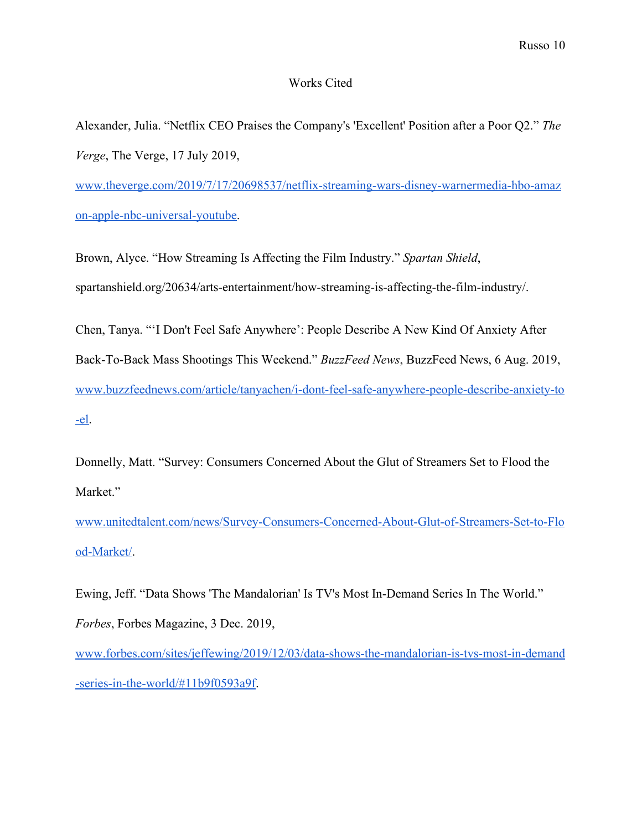## Works Cited

Alexander, Julia. "Netflix CEO Praises the Company's 'Excellent' Position after a Poor Q2." *The Verge*, The Verge, 17 July 2019,

[www.theverge.com/2019/7/17/20698537/netflix-streaming-wars-disney-warnermedia-hbo-amaz](http://www.theverge.com/2019/7/17/20698537/netflix-streaming-wars-disney-warnermedia-hbo-amazon-apple-nbc-universal-youtube) [on-apple-nbc-universal-youtube.](http://www.theverge.com/2019/7/17/20698537/netflix-streaming-wars-disney-warnermedia-hbo-amazon-apple-nbc-universal-youtube)

Brown, Alyce. "How Streaming Is Affecting the Film Industry." *Spartan Shield*, spartanshield.org/20634/arts-entertainment/how-streaming-is-affecting-the-film-industry/.

Chen, Tanya. "'I Don't Feel Safe Anywhere': People Describe A New Kind Of Anxiety After Back-To-Back Mass Shootings This Weekend." *BuzzFeed News*, BuzzFeed News, 6 Aug. 2019, [www.buzzfeednews.com/article/tanyachen/i-dont-feel-safe-anywhere-people-describe-anxiety-to](http://www.buzzfeednews.com/article/tanyachen/i-dont-feel-safe-anywhere-people-describe-anxiety-to-el) [-el.](http://www.buzzfeednews.com/article/tanyachen/i-dont-feel-safe-anywhere-people-describe-anxiety-to-el)

Donnelly, Matt. "Survey: Consumers Concerned About the Glut of Streamers Set to Flood the Market."

[www.unitedtalent.com/news/Survey-Consumers-Concerned-About-Glut-of-Streamers-Set-to-Flo](http://www.unitedtalent.com/news/Survey-Consumers-Concerned-About-Glut-of-Streamers-Set-to-Flood-Market/) [od-Market/.](http://www.unitedtalent.com/news/Survey-Consumers-Concerned-About-Glut-of-Streamers-Set-to-Flood-Market/)

Ewing, Jeff. "Data Shows 'The Mandalorian' Is TV's Most In-Demand Series In The World." *Forbes*, Forbes Magazine, 3 Dec. 2019,

[www.forbes.com/sites/jeffewing/2019/12/03/data-shows-the-mandalorian-is-tvs-most-in-demand](http://www.forbes.com/sites/jeffewing/2019/12/03/data-shows-the-mandalorian-is-tvs-most-in-demand-series-in-the-world/#11b9f0593a9f) [-series-in-the-world/#11b9f0593a9f.](http://www.forbes.com/sites/jeffewing/2019/12/03/data-shows-the-mandalorian-is-tvs-most-in-demand-series-in-the-world/#11b9f0593a9f)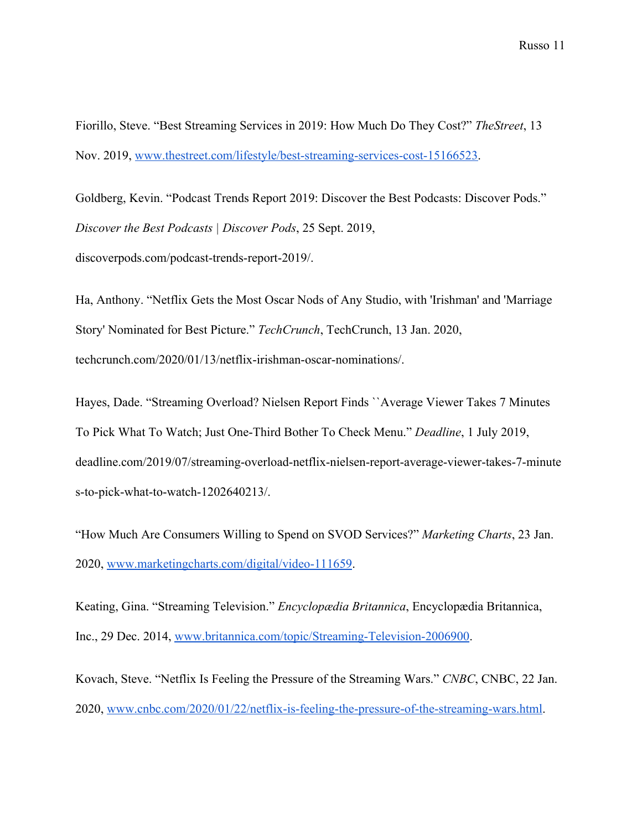Fiorillo, Steve. "Best Streaming Services in 2019: How Much Do They Cost?" *TheStreet*, 13 Nov. 2019, [www.thestreet.com/lifestyle/best-streaming-services-cost-15166523.](http://www.thestreet.com/lifestyle/best-streaming-services-cost-15166523)

Goldberg, Kevin. "Podcast Trends Report 2019: Discover the Best Podcasts: Discover Pods." *Discover the Best Podcasts | Discover Pods*, 25 Sept. 2019, discoverpods.com/podcast-trends-report-2019/.

Ha, Anthony. "Netflix Gets the Most Oscar Nods of Any Studio, with 'Irishman' and 'Marriage Story' Nominated for Best Picture." *TechCrunch*, TechCrunch, 13 Jan. 2020, techcrunch.com/2020/01/13/netflix-irishman-oscar-nominations/.

Hayes, Dade. "Streaming Overload? Nielsen Report Finds ``Average Viewer Takes 7 Minutes To Pick What To Watch; Just One-Third Bother To Check Menu." *Deadline*, 1 July 2019, deadline.com/2019/07/streaming-overload-netflix-nielsen-report-average-viewer-takes-7-minute s-to-pick-what-to-watch-1202640213/.

"How Much Are Consumers Willing to Spend on SVOD Services?" *Marketing Charts*, 23 Jan. 2020, [www.marketingcharts.com/digital/video-111659.](http://www.marketingcharts.com/digital/video-111659)

Keating, Gina. "Streaming Television." *Encyclopædia Britannica*, Encyclopædia Britannica, Inc., 29 Dec. 2014, [www.britannica.com/topic/Streaming-Television-2006900.](http://www.britannica.com/topic/Streaming-Television-2006900)

Kovach, Steve. "Netflix Is Feeling the Pressure of the Streaming Wars." *CNBC*, CNBC, 22 Jan. 2020, [www.cnbc.com/2020/01/22/netflix-is-feeling-the-pressure-of-the-streaming-wars.html.](http://www.cnbc.com/2020/01/22/netflix-is-feeling-the-pressure-of-the-streaming-wars.html)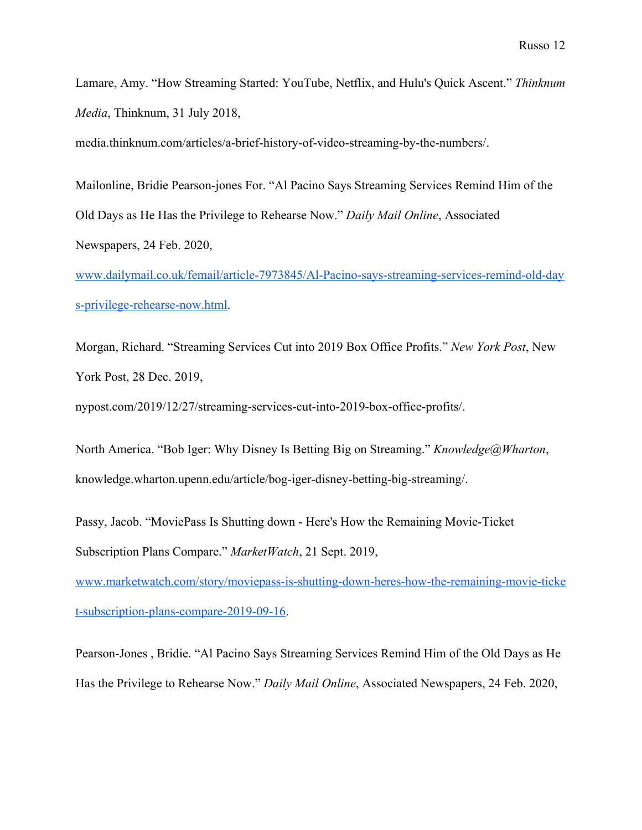Lamare, Amy. "How Streaming Started: YouTube, Netflix, and Hulu's Quick Ascent." *Thinknum Media*, Thinknum, 31 July 2018,

media.thinknum.com/articles/a-brief-history-of-video-streaming-by-the-numbers/.

Mailonline, Bridie Pearson-jones For. "Al Pacino Says Streaming Services Remind Him of the Old Days as He Has the Privilege to Rehearse Now." *Daily Mail Online*, Associated Newspapers, 24 Feb. 2020,

[www.dailymail.co.uk/femail/article-7973845/Al-Pacino-says-streaming-services-remind-old-day](http://www.dailymail.co.uk/femail/article-7973845/Al-Pacino-says-streaming-services-remind-old-days-privilege-rehearse-now.html) [s-privilege-rehearse-now.html.](http://www.dailymail.co.uk/femail/article-7973845/Al-Pacino-says-streaming-services-remind-old-days-privilege-rehearse-now.html)

Morgan, Richard. "Streaming Services Cut into 2019 Box Office Profits." *New York Post*, New York Post, 28 Dec. 2019,

nypost.com/2019/12/27/streaming-services-cut-into-2019-box-office-profits/.

North America. "Bob Iger: Why Disney Is Betting Big on Streaming." *Knowledge@Wharton*, knowledge.wharton.upenn.edu/article/bog-iger-disney-betting-big-streaming/.

Passy, Jacob. "MoviePass Is Shutting down - Here's How the Remaining Movie-Ticket Subscription Plans Compare." *MarketWatch*, 21 Sept. 2019,

[www.marketwatch.com/story/moviepass-is-shutting-down-heres-how-the-remaining-movie-ticke](http://www.marketwatch.com/story/moviepass-is-shutting-down-heres-how-the-remaining-movie-ticket-subscription-plans-compare-2019-09-16) [t-subscription-plans-compare-2019-09-16](http://www.marketwatch.com/story/moviepass-is-shutting-down-heres-how-the-remaining-movie-ticket-subscription-plans-compare-2019-09-16).

Pearson-Jones , Bridie. "Al Pacino Says Streaming Services Remind Him of the Old Days as He Has the Privilege to Rehearse Now." *Daily Mail Online*, Associated Newspapers, 24 Feb. 2020,